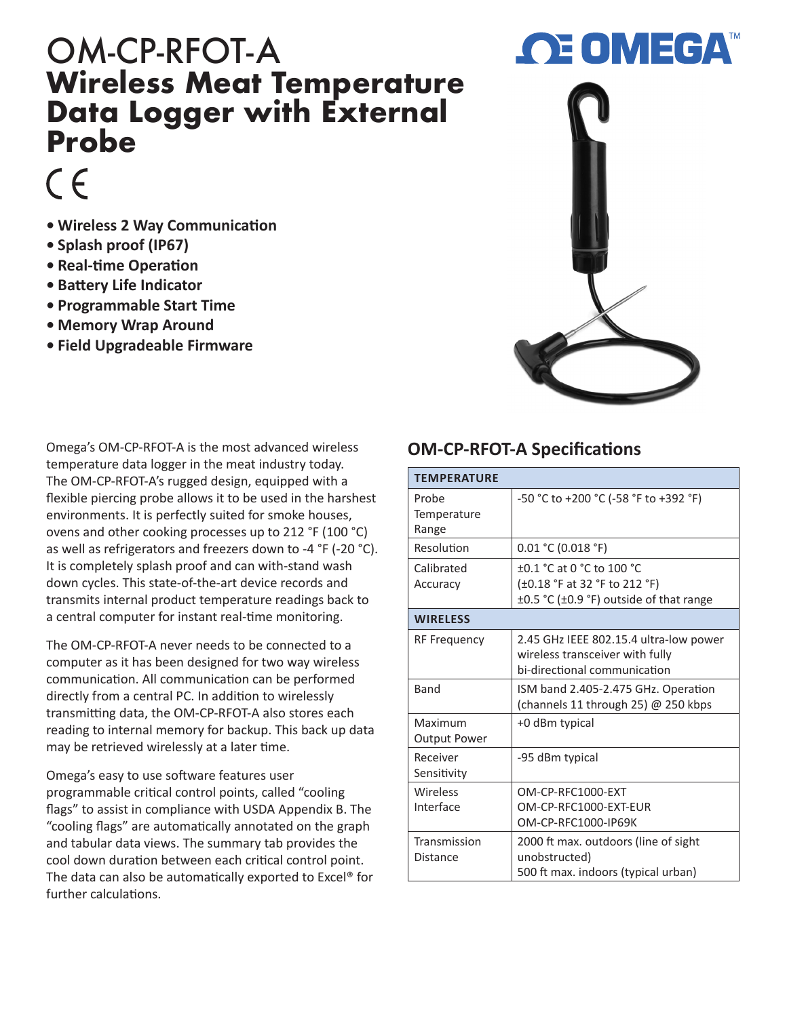## OM-CP-RFOT-A **Wireless Meat Temperature Data Logger with External Probe**

## $\epsilon$

- **• Wireless 2 Way Communication**
- **• Splash proof (IP67)**
- **• Real-time Operation**
- **• Battery Life Indicator**
- **• Programmable Start Time**
- **• Memory Wrap Around**
- **• Field Upgradeable Firmware**



Omega's OM-CP-RFOT-A is the most advanced wireless temperature data logger in the meat industry today. The OM-CP-RFOT-A's rugged design, equipped with a flexible piercing probe allows it to be used in the harshest environments. It is perfectly suited for smoke houses, ovens and other cooking processes up to 212 °F (100 °C) as well as refrigerators and freezers down to -4 °F (-20 °C). It is completely splash proof and can with-stand wash down cycles. This state-of-the-art device records and transmits internal product temperature readings back to a central computer for instant real-time monitoring.

The OM-CP-RFOT-A never needs to be connected to a computer as it has been designed for two way wireless communication. All communication can be performed directly from a central PC. In addition to wirelessly transmitting data, the OM-CP-RFOT-A also stores each reading to internal memory for backup. This back up data may be retrieved wirelessly at a later time.

Omega's easy to use software features user programmable critical control points, called "cooling flags" to assist in compliance with USDA Appendix B. The "cooling flags" are automatically annotated on the graph and tabular data views. The summary tab provides the cool down duration between each critical control point. The data can also be automatically exported to Excel® for further calculations.

## **OM-CP-RFOT-A Specifications**

| <b>TEMPERATURE</b>             |                                                                                                           |  |
|--------------------------------|-----------------------------------------------------------------------------------------------------------|--|
| Probe<br>Temperature<br>Range  | -50 °C to +200 °C (-58 °F to +392 °F)                                                                     |  |
| Resolution                     | 0.01 °C (0.018 °F)                                                                                        |  |
| Calibrated<br>Accuracy         | $+0.1$ °C at 0 °C to 100 °C<br>(±0.18 °F at 32 °F to 212 °F)<br>±0.5 °C (±0.9 °F) outside of that range   |  |
| <b>WIRELESS</b>                |                                                                                                           |  |
| <b>RF Frequency</b>            | 2.45 GHz IEEE 802.15.4 ultra-low power<br>wireless transceiver with fully<br>bi-directional communication |  |
| <b>Band</b>                    | ISM band 2.405-2.475 GHz. Operation<br>(channels 11 through 25) @ 250 kbps                                |  |
| Maximum<br><b>Output Power</b> | +0 dBm typical                                                                                            |  |
| Receiver<br>Sensitivity        | -95 dBm typical                                                                                           |  |
| Wireless<br>Interface          | OM-CP-REC1000-EXT<br>OM-CP-RFC1000-EXT-EUR<br>OM-CP-RFC1000-IP69K                                         |  |
| Transmission<br>Distance       | 2000 ft max. outdoors (line of sight<br>unobstructed)<br>500 ft max. indoors (typical urban)              |  |